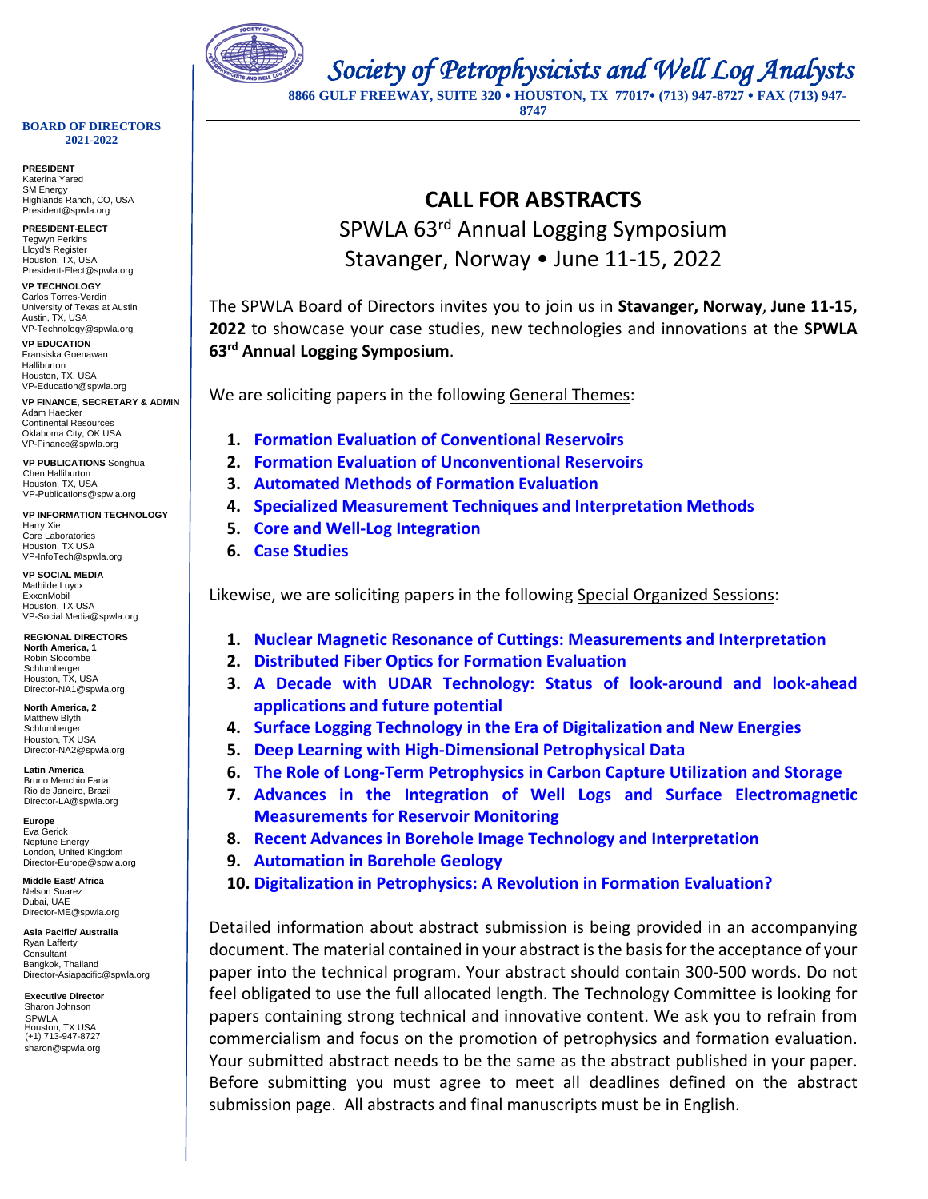

 *Society of Petrophysicists and Well Log Analysts* 

**8866 GULF FREEWAY, SUITE 320 HOUSTON, TX 77017 (713) 947-8727 FAX (713) 947- 8747**

#### **BOARD OF DIRECTORS 2021-2022**

**PRESIDENT** Katerina Yared SM Energy Highlands Ranch, CO, USA President@spwla.org

**PRESIDENT-ELECT** Tegwyn Perkins Lloyd's Register Houston, TX, USA President-Elect@spwla.org

**VP TECHNOLOGY** Carlos Torres-Verdin University of Texas at Austin Austin, TX, USA VP-Technology@spwla.org

**VP EDUCATION** Fransiska Goenawan Halliburton Houston, TX, USA VP-Education@spwla.org

**VP FINANCE, SECRETARY & ADMIN** Adam Haecker Continental Resource Oklahoma City, OK USA VP-Finance@spwla.org

**VP PUBLICATIONS** Songhua Chen Halliburton Houston, TX, USA VP-Publications@spwla.org

**VP INFORMATION TECHNOLOGY** Harry Xie Core Laboratories Houston, TX USA VP-InfoTech@spwla.org

**VP SOCIAL MEDIA** Mathilde Luycx ExxonMobil Houston, TX USA VP-Social Media@spwla.org

**REGIONAL DIRECTORS North America, 1** Robin Slocombe Schlumberger Houston, TX, USA Director-NA1@spwla.org

**North America, 2**  Matthew Blyth Schlumberger Houston, TX USA Director-NA2@spwla.org

**Latin America** Bruno Menchio Faria Rio de Janeiro, Brazil Director-LA@spwla.org

**Europe** Eva Gerick Neptune Energy London, United Kingdom Director-Europe@spwla.org

**Middle East/ Africa** Nelson Suarez Dubai, UAE Director-ME@spwla.org

**Asia Pacific/ Australia**  Ryan Lafferty Consultant Bangkok, Thailand Director-Asiapacific@spwla.org

**Executive Director** Sharon Johnson SPWLA Houston, TX USA (+1) 713-947-8727 sharon@spwla.org

## **CALL FOR ABSTRACTS** SPWLA 63rd Annual Logging Symposium Stavanger, Norway • June 11-15, 2022

The SPWLA Board of Directors invites you to join us in **Stavanger, Norway**, **June 11-15, 2022** to showcase your case studies, new technologies and innovations at the **SPWLA 63rd Annual Logging Symposium**.

We are soliciting papers in the following General Themes:

- **1. Formation Evaluation of Conventional Reservoirs**
- **2. Formation Evaluation of Unconventional Reservoirs**
- **3. Automated Methods of Formation Evaluation**
- **4. Specialized Measurement Techniques and Interpretation Methods**
- **5. Core and Well-Log Integration**
- **6. Case Studies**

Likewise, we are soliciting papers in the following Special Organized Sessions:

- **1. Nuclear Magnetic Resonance of Cuttings: Measurements and Interpretation**
- **2. Distributed Fiber Optics for Formation Evaluation**
- **3. A Decade with UDAR Technology: Status of look-around and look-ahead applications and future potential**
- **4. Surface Logging Technology in the Era of Digitalization and New Energies**
- **5. Deep Learning with High-Dimensional Petrophysical Data**
- **6. The Role of Long-Term Petrophysics in Carbon Capture Utilization and Storage**
- **7. Advances in the Integration of Well Logs and Surface Electromagnetic Measurements for Reservoir Monitoring**
- **8. Recent Advances in Borehole Image Technology and Interpretation**
- **9. Automation in Borehole Geology**
- **10. Digitalization in Petrophysics: A Revolution in Formation Evaluation?**

Detailed information about abstract submission is being provided in an accompanying document. The material contained in your abstract is the basis for the acceptance of your paper into the technical program. Your abstract should contain 300-500 words. Do not feel obligated to use the full allocated length. The Technology Committee is looking for papers containing strong technical and innovative content. We ask you to refrain from commercialism and focus on the promotion of petrophysics and formation evaluation. Your submitted abstract needs to be the same as the abstract published in your paper. Before submitting you must agree to meet all deadlines defined on the abstract submission page. All abstracts and final manuscripts must be in English.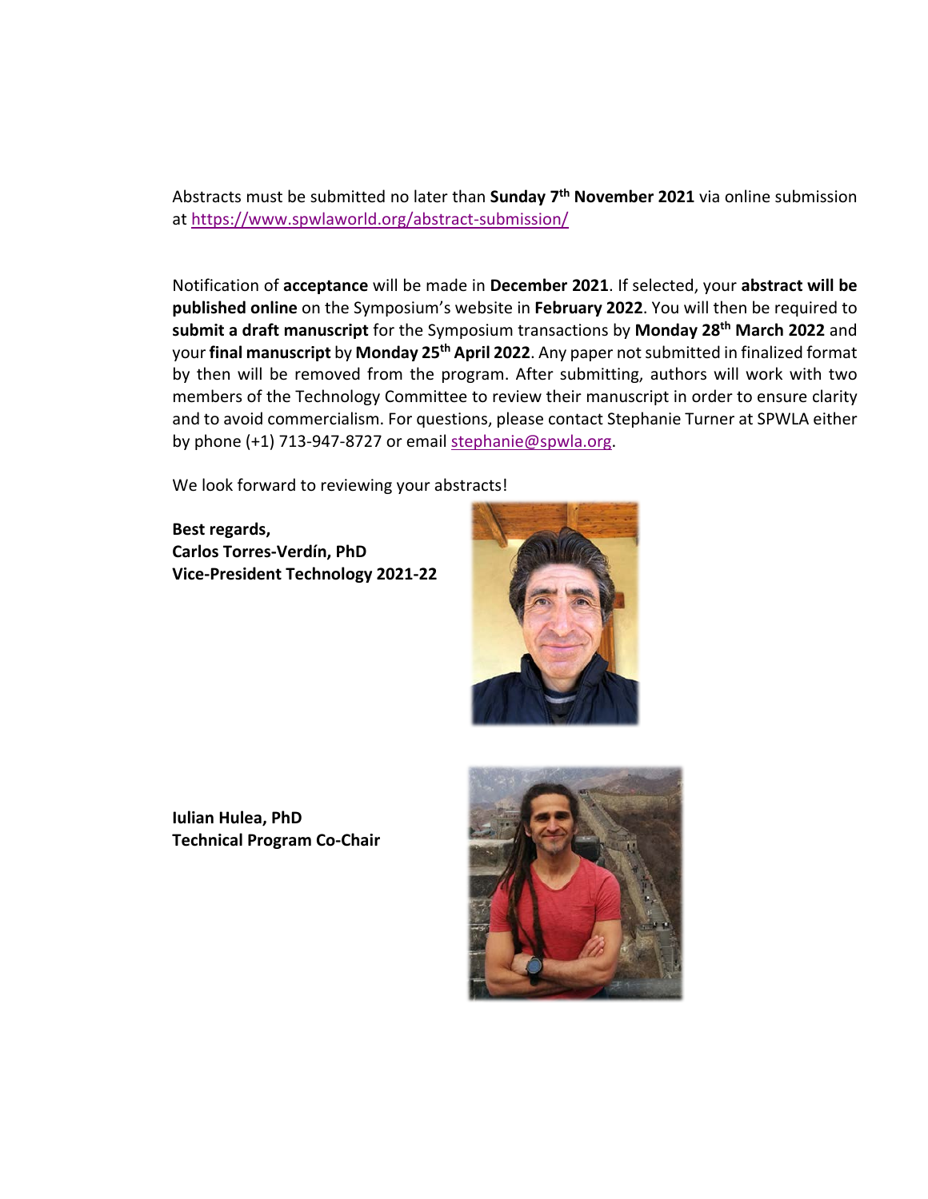Abstracts must be submitted no later than **Sunday 7th November 2021** via online submission at [https://www.spwlaworld.org/abstract-submission/](https://urldefense.proofpoint.com/v2/url?u=https-3A__www.spwlaworld.org_abstract-2Dsubmission_&d=DwMFAg&c=CRKael6LgVt5xjvyqPD27dPR2eKsAMw5_UGvkEk3eUY&r=_ExRHAprwX9yZ26yzNv0aw&m=gmiMWYyNvAGZjH4Gtp7e5hwsLqpSR7tdCIyHQyQeNs4&s=AvqQ_HyrzNwpUhjv_VRcfGDacEz9PLoLjOga6MtwPOs&e=)

Notification of **acceptance** will be made in **December 2021**. If selected, your **abstract will be published online** on the Symposium's website in **February 2022**. You will then be required to **submit a draft manuscript** for the Symposium transactions by **Monday 28th March 2022** and your **final manuscript** by **Monday 25th April 2022**. Any paper not submitted in finalized format by then will be removed from the program. After submitting, authors will work with two members of the Technology Committee to review their manuscript in order to ensure clarity and to avoid commercialism. For questions, please contact Stephanie Turner at SPWLA either by phone (+1) 713-947-8727 or email [stephanie@spwla.org.](mailto:stephanie@spwla.org)

We look forward to reviewing your abstracts!

**Best regards, Carlos Torres-Verdín, PhD Vice-President Technology 2021-22**



**Iulian Hulea, PhD Technical Program Co-Chair**

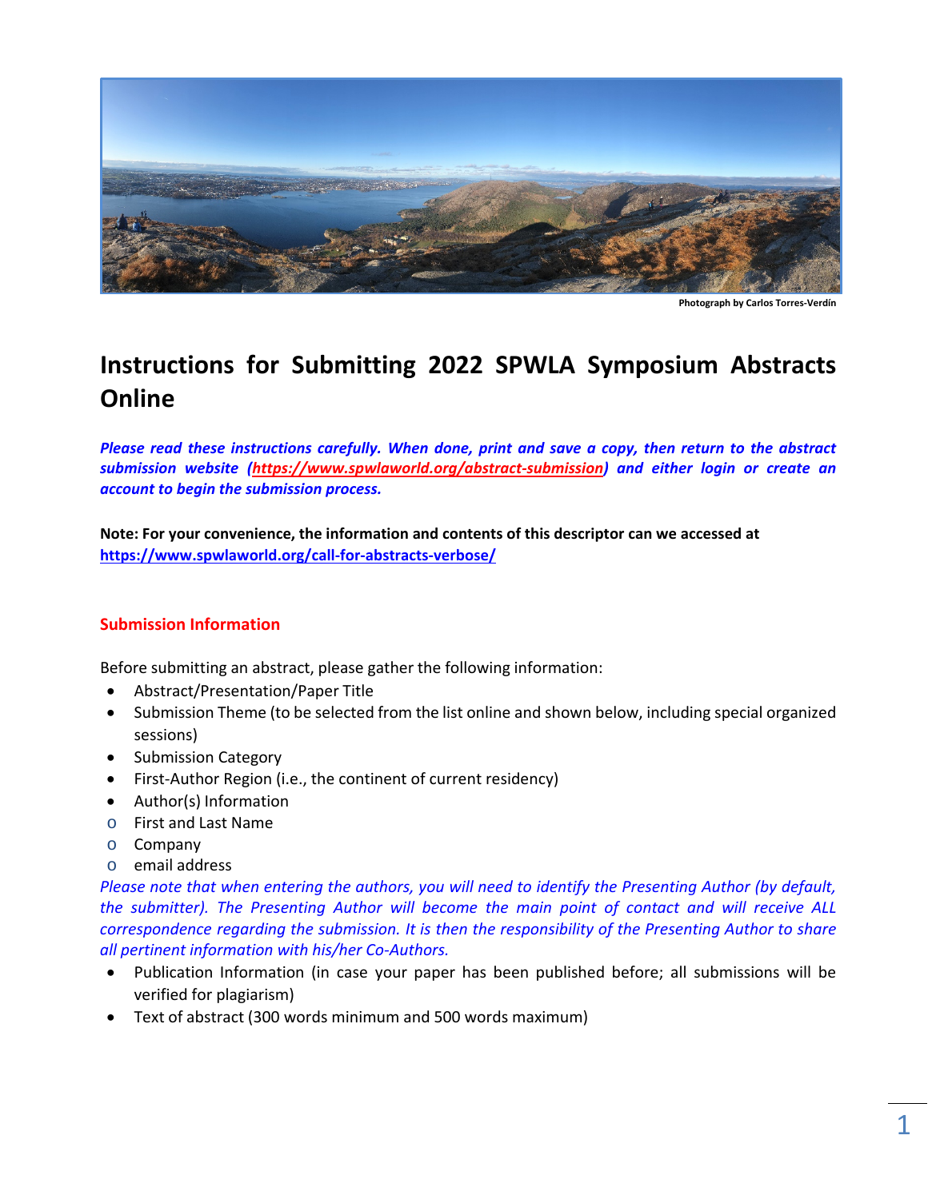

**Photograph by Carlos Torres-Verdín**

# **Instructions for Submitting 2022 SPWLA Symposium Abstracts Online**

*Please read these instructions carefully. When done, print and save a copy, then return to the abstract submission website [\(https://www.spwlaworld.org/abstract-submission\)](https://www.spwlaworld.org/abstract-submission) and either login or create an account to begin the submission process.* 

**Note: For your convenience, the information and contents of this descriptor can we accessed at <https://www.spwlaworld.org/call-for-abstracts-verbose/>**

## **Submission Information**

Before submitting an abstract, please gather the following information:

- Abstract/Presentation/Paper Title
- Submission Theme (to be selected from the list online and shown below, including special organized sessions)
- Submission Category
- First-Author Region (i.e., the continent of current residency)
- Author(s) Information
- o First and Last Name
- o Company
- o email address

*Please note that when entering the authors, you will need to identify the Presenting Author (by default, the submitter). The Presenting Author will become the main point of contact and will receive ALL correspondence regarding the submission. It is then the responsibility of the Presenting Author to share all pertinent information with his/her Co-Authors.*

- Publication Information (in case your paper has been published before; all submissions will be verified for plagiarism)
- Text of abstract (300 words minimum and 500 words maximum)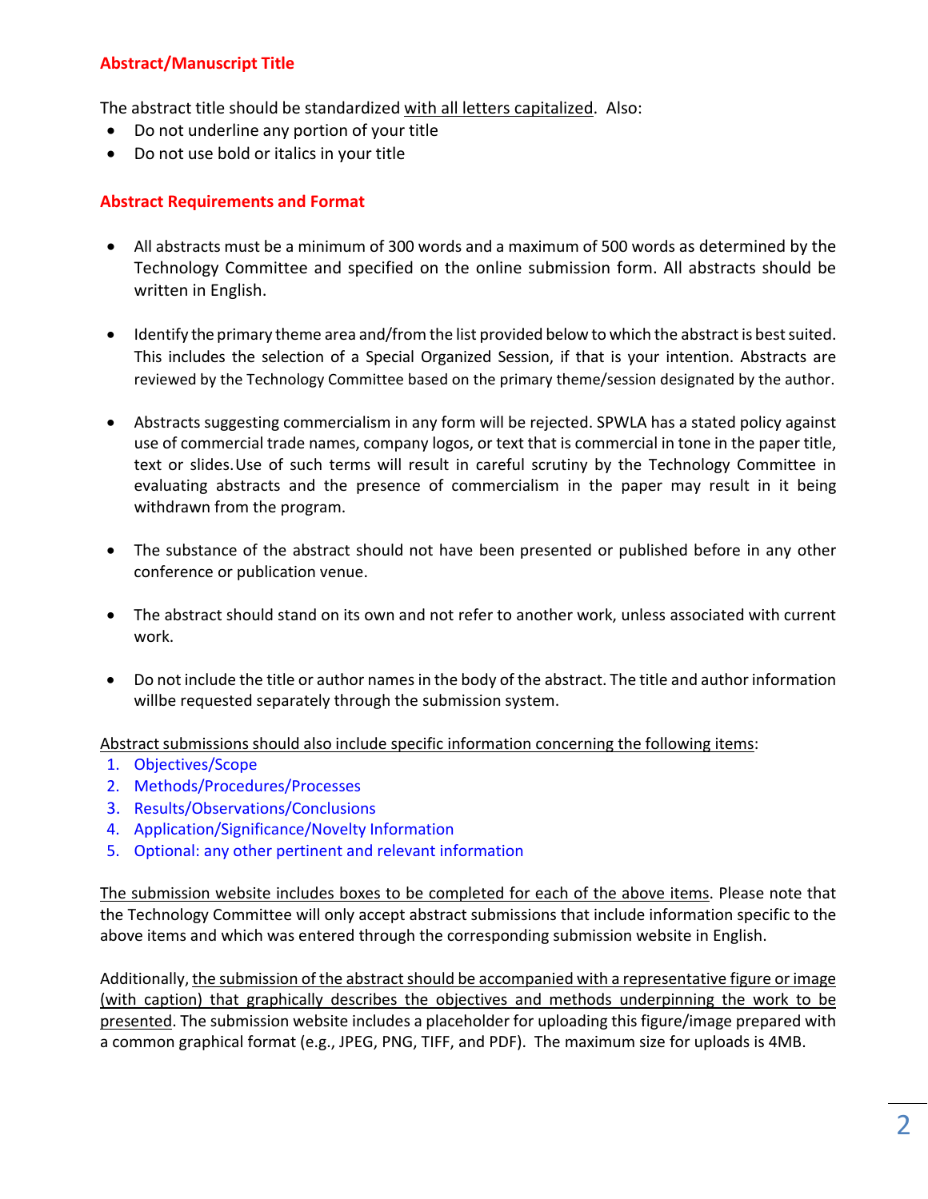### **Abstract/Manuscript Title**

The abstract title should be standardized with all letters capitalized. Also:

- Do not underline any portion of your title
- Do not use bold or italics in your title

### **Abstract Requirements and Format**

- All abstracts must be a minimum of 300 words and a maximum of 500 words as determined by the Technology Committee and specified on the online submission form. All abstracts should be written in English.
- Identify the primary theme area and/from the list provided below to which the abstract is best suited. This includes the selection of a Special Organized Session, if that is your intention. Abstracts are reviewed by the Technology Committee based on the primary theme/session designated by the author.
- Abstracts suggesting commercialism in any form will be rejected. SPWLA has a stated policy against use of commercial trade names, company logos, or text that is commercial in tone in the paper title, text or slides.Use of such terms will result in careful scrutiny by the Technology Committee in evaluating abstracts and the presence of commercialism in the paper may result in it being withdrawn from the program.
- The substance of the abstract should not have been presented or published before in any other conference or publication venue.
- The abstract should stand on its own and not refer to another work, unless associated with current work.
- Do not include the title or author names in the body of the abstract. The title and author information willbe requested separately through the submission system.

Abstract submissions should also include specific information concerning the following items:

- 1. Objectives/Scope
- 2. Methods/Procedures/Processes
- 3. Results/Observations/Conclusions
- 4. Application/Significance/Novelty Information
- 5. Optional: any other pertinent and relevant information

The submission website includes boxes to be completed for each of the above items. Please note that the Technology Committee will only accept abstract submissions that include information specific to the above items and which was entered through the corresponding submission website in English.

Additionally, the submission of the abstract should be accompanied with a representative figure or image (with caption) that graphically describes the objectives and methods underpinning the work to be presented. The submission website includes a placeholder for uploading this figure/image prepared with a common graphical format (e.g., JPEG, PNG, TIFF, and PDF). The maximum size for uploads is 4MB.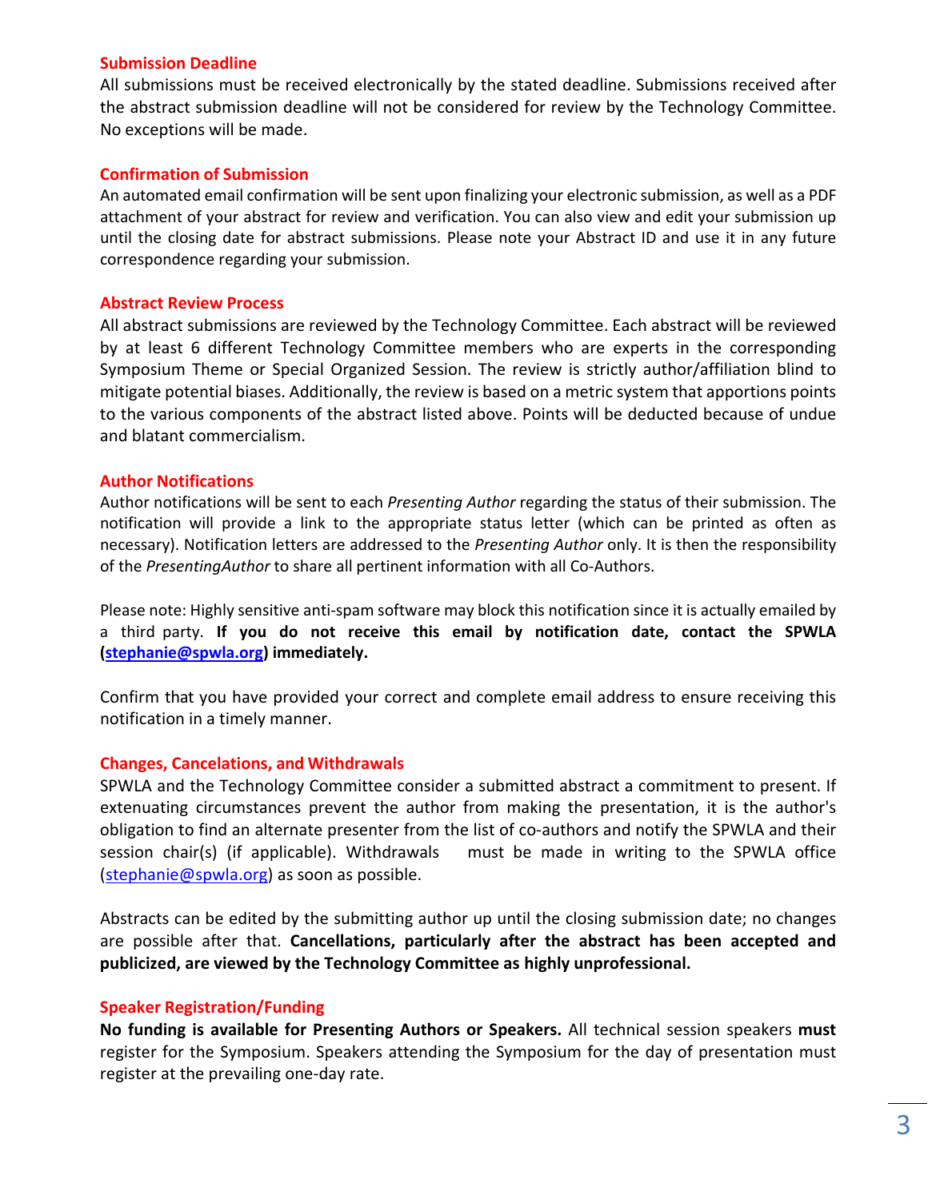#### **Submission Deadline**

All submissions must be received electronically by the stated deadline. Submissions received after the abstract submission deadline will not be considered for review by the Technology Committee. No exceptions will be made.

#### **Confirmation of Submission**

An automated email confirmation will be sent upon finalizing your electronic submission, as well as a PDF attachment of your abstract for review and verification. You can also view and edit your submission up until the closing date for abstract submissions. Please note your Abstract ID and use it in any future correspondence regarding your submission.

#### **Abstract Review Process**

All abstract submissions are reviewed by the Technology Committee. Each abstract will be reviewed by at least 6 different Technology Committee members who are experts in the corresponding Symposium Theme or Special Organized Session. The review is strictly author/affiliation blind to mitigate potential biases. Additionally, the review is based on a metric system that apportions points to the various components of the abstract listed above. Points will be deducted because of undue and blatant commercialism.

#### **Author Notifications**

Author notifications will be sent to each *Presenting Author* regarding the status of their submission. The notification will provide a link to the appropriate status letter (which can be printed as often as necessary). Notification letters are addressed to the *Presenting Author* only. It is then the responsibility of the *PresentingAuthor* to share all pertinent information with all Co-Authors.

Please note: Highly sensitive anti-spam software may block this notification since it is actually emailed by a third party. **If you do not receive this email by notification date, contact the SPWLA [\(stephanie@spwla.org\)](mailto:stephanie@spwla.org) immediately.**

Confirm that you have provided your correct and complete email address to ensure receiving this notification in a timely manner.

### **Changes, Cancelations, and Withdrawals**

SPWLA and the Technology Committee consider a submitted abstract a commitment to present. If extenuating circumstances prevent the author from making the presentation, it is the author's obligation to find an alternate presenter from the list of co-authors and notify the SPWLA and their session chair(s) (if applicable). Withdrawals must be made in writing to the SPWLA office [\(stephanie@spwla.org\)](mailto:stephanie@spwla.org) as soon as possible.

Abstracts can be edited by the submitting author up until the closing submission date; no changes are possible after that. **Cancellations, particularly after the abstract has been accepted and publicized, are viewed by the Technology Committee as highly unprofessional.**

### **Speaker Registration/Funding**

**No funding is available for Presenting Authors or Speakers.** All technical session speakers **must**  register for the Symposium. Speakers attending the Symposium for the day of presentation must register at the prevailing one-day rate.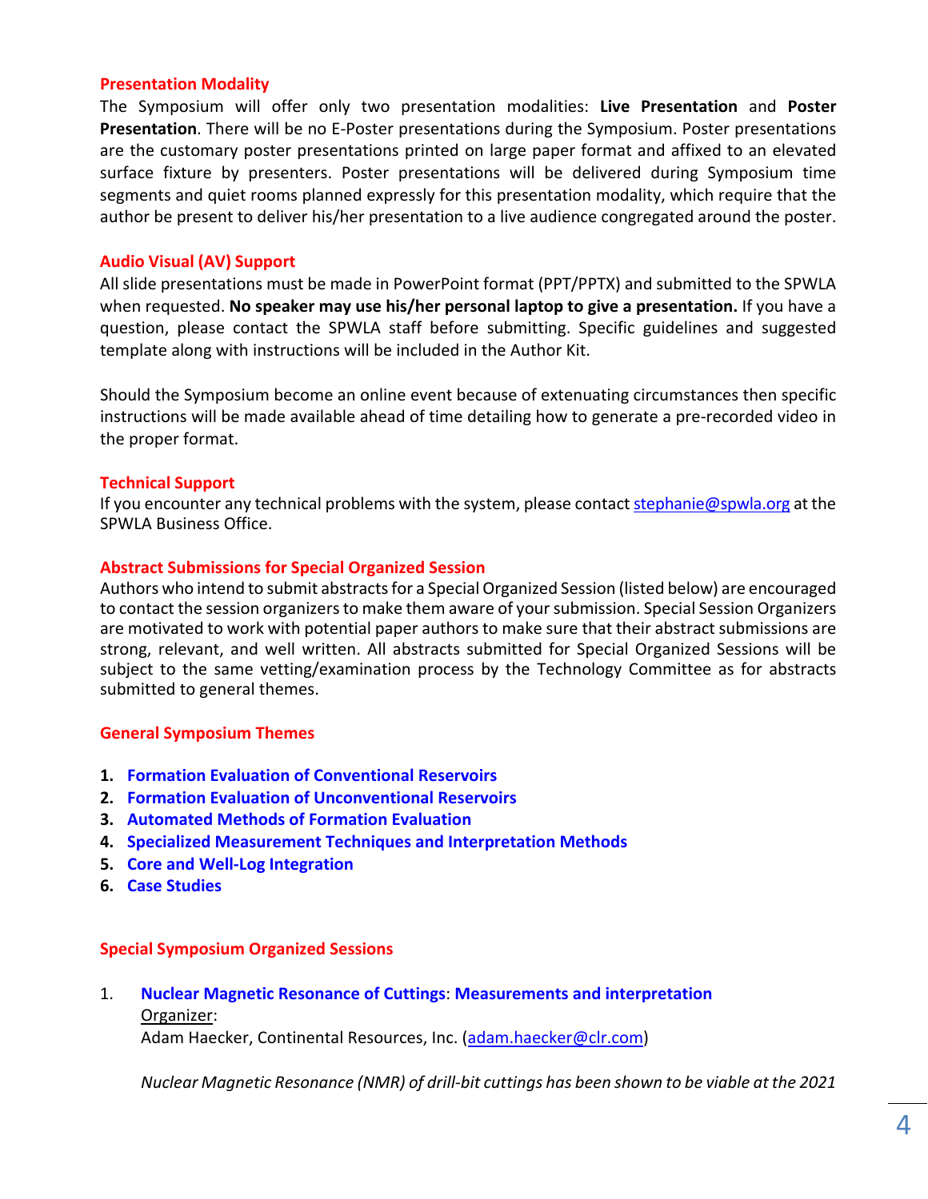#### **Presentation Modality**

The Symposium will offer only two presentation modalities: **Live Presentation** and **Poster Presentation**. There will be no E-Poster presentations during the Symposium. Poster presentations are the customary poster presentations printed on large paper format and affixed to an elevated surface fixture by presenters. Poster presentations will be delivered during Symposium time segments and quiet rooms planned expressly for this presentation modality, which require that the author be present to deliver his/her presentation to a live audience congregated around the poster.

### **Audio Visual (AV) Support**

All slide presentations must be made in PowerPoint format (PPT/PPTX) and submitted to the SPWLA when requested. **No speaker may use his/her personal laptop to give a presentation.** If you have a question, please contact the SPWLA staff before submitting. Specific guidelines and suggested template along with instructions will be included in the Author Kit.

Should the Symposium become an online event because of extenuating circumstances then specific instructions will be made available ahead of time detailing how to generate a pre-recorded video in the proper format.

#### **Technical Support**

If you encounter any technical problems with the system, please contact [stephanie@spwla.org](mailto:stephanie@spwla.org) at the SPWLA Business Office.

#### **Abstract Submissions for Special Organized Session**

Authors who intend to submit abstracts for a Special Organized Session (listed below) are encouraged to contact the session organizers to make them aware of your submission. Special Session Organizers are motivated to work with potential paper authors to make sure that their abstract submissions are strong, relevant, and well written. All abstracts submitted for Special Organized Sessions will be subject to the same vetting/examination process by the Technology Committee as for abstracts submitted to general themes.

#### **General Symposium Themes**

- **1. Formation Evaluation of Conventional Reservoirs**
- **2. Formation Evaluation of Unconventional Reservoirs**
- **3. Automated Methods of Formation Evaluation**
- **4. Specialized Measurement Techniques and Interpretation Methods**
- **5. Core and Well-Log Integration**
- **6. Case Studies**

### **Special Symposium Organized Sessions**

1. **Nuclear Magnetic Resonance of Cuttings**: **Measurements and interpretation** Organizer: Adam Haecker, Continental Resources, Inc. [\(adam.haecker@clr.com\)](mailto:adam.haecker@clr.com)

*Nuclear Magnetic Resonance (NMR) of drill-bit cuttings has been shown to be viable at the 2021*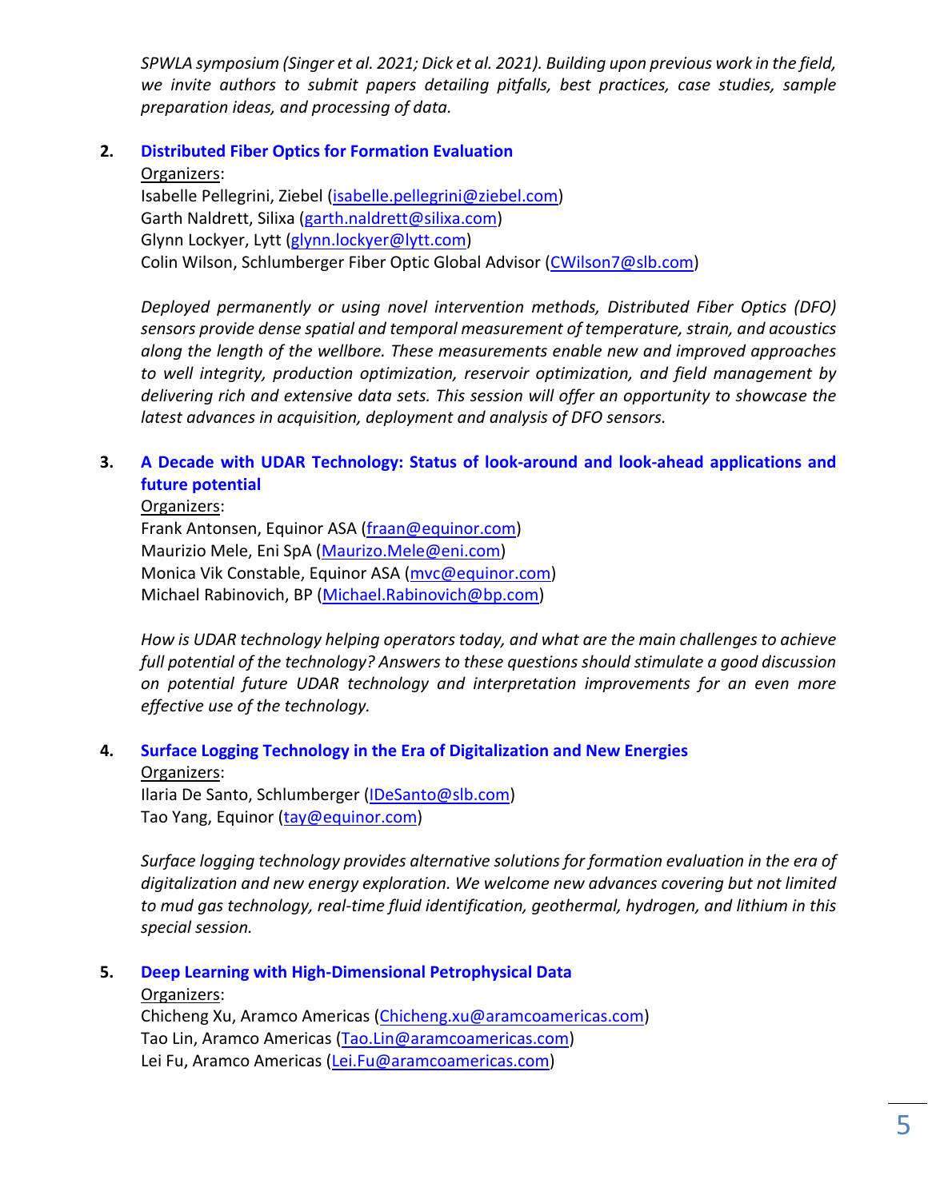*SPWLA symposium (Singer et al. 2021; Dick et al. 2021). Building upon previous work in the field, we invite authors to submit papers detailing pitfalls, best practices, case studies, sample preparation ideas, and processing of data.*

**2. Distributed Fiber Optics for Formation Evaluation** Organizers: Isabelle Pellegrini, Ziebel [\(isabelle.pellegrini@ziebel.com\)](mailto:isabelle.pellegrini@ziebel.com) Garth Naldrett, Silixa [\(garth.naldrett@silixa.com\)](mailto:garth.naldrett@silixa.com)

Glynn Lockyer, Lytt [\(glynn.lockyer@lytt.com\)](mailto:glynn.lockyer@lytt.com) Colin Wilson, Schlumberger Fiber Optic Global Advisor [\(CWilson7@slb.com\)](mailto:CWilson7@slb.com)

*Deployed permanently or using novel intervention methods, Distributed Fiber Optics (DFO) sensors provide dense spatial and temporal measurement of temperature, strain, and acoustics along the length of the wellbore. These measurements enable new and improved approaches to well integrity, production optimization, reservoir optimization, and field management by delivering rich and extensive data sets. This session will offer an opportunity to showcase the latest advances in acquisition, deployment and analysis of DFO sensors.*

## **3. A Decade with UDAR Technology: Status of look-around and look-ahead applications and future potential**

Organizers: Frank Antonsen, Equinor ASA [\(fraan@equinor.com\)](mailto:fraan@equinor.com) Maurizio Mele, Eni SpA [\(Maurizo.Mele@eni.com\)](mailto:Maurizo.Mele@eni.com) Monica Vik Constable, Equinor ASA [\(mvc@equinor.com\)](mailto:mvc@equinor.com) Michael Rabinovich, BP [\(Michael.Rabinovich@bp.com\)](mailto:Michael.Rabinovich@bp.com)

*How is UDAR technology helping operators today, and what are the main challenges to achieve full potential of the technology? Answers to these questions should stimulate a good discussion on potential future UDAR technology and interpretation improvements for an even more effective use of the technology.*

## **4. Surface Logging Technology in the Era of Digitalization and New Energies**

Organizers:

Ilaria De Santo, Schlumberger [\(IDeSanto@slb.com\)](mailto:IDeSanto@slb.com) Tao Yang, Equinor [\(tay@equinor.com\)](mailto:tay@equinor.com)

*Surface logging technology provides alternative solutions for formation evaluation in the era of digitalization and new energy exploration. We welcome new advances covering but not limited to mud gas technology, real-time fluid identification, geothermal, hydrogen, and lithium in this special session.*

## **5. Deep Learning with High-Dimensional Petrophysical Data**

Organizers:

Chicheng Xu, Aramco Americas [\(Chicheng.xu@aramcoamericas.com\)](mailto:Chicheng.xu@aramcoamericas.com) Tao Lin, Aramco Americas [\(Tao.Lin@aramcoamericas.com\)](mailto:Tao.Lin@aramcoamericas.com) Lei Fu, Aramco Americas [\(Lei.Fu@aramcoamericas.com\)](mailto:Lei.Fu@aramcoamericas.com)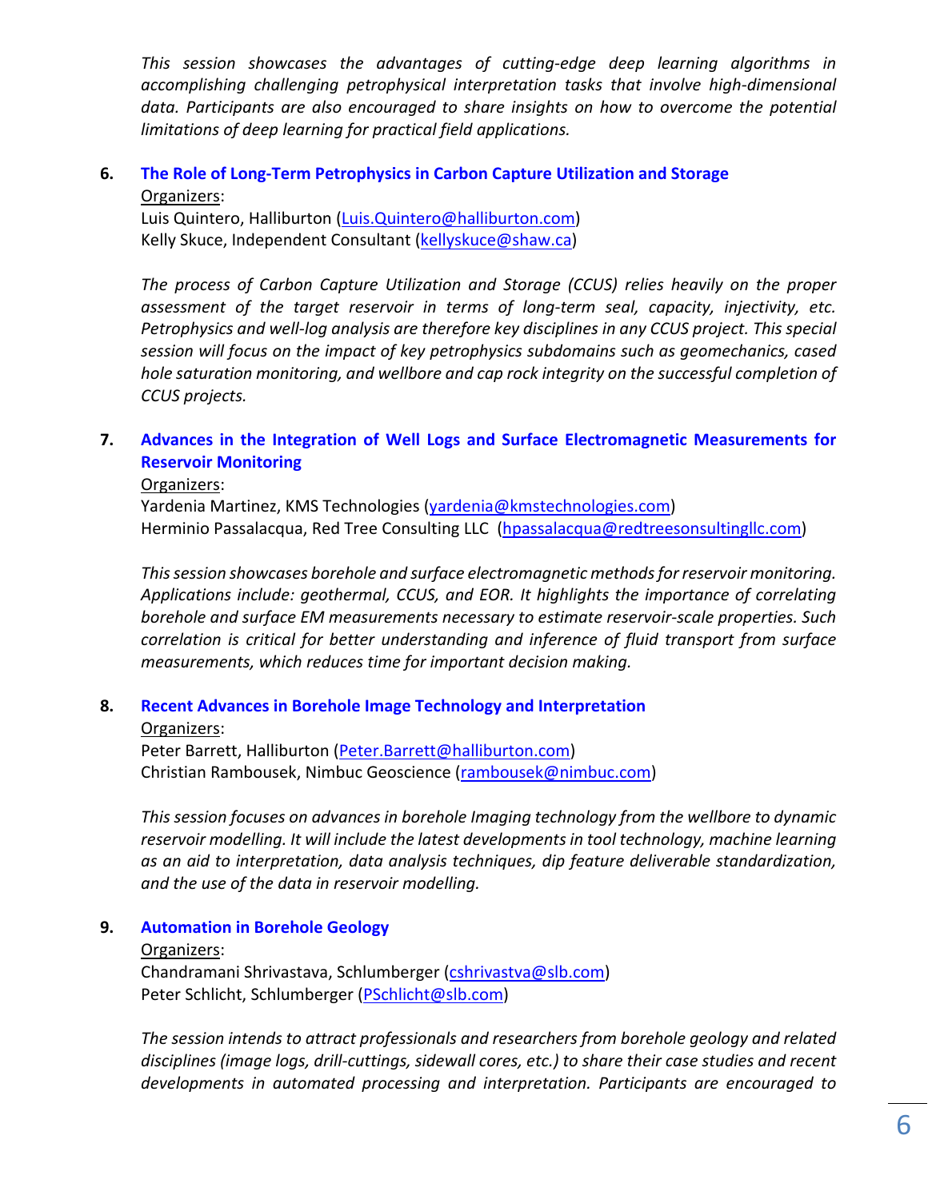*This session showcases the advantages of cutting-edge deep learning algorithms in accomplishing challenging petrophysical interpretation tasks that involve high-dimensional data. Participants are also encouraged to share insights on how to overcome the potential limitations of deep learning for practical field applications.*

### **6. The Role of Long-Term Petrophysics in Carbon Capture Utilization and Storage** Organizers:

Luis Quintero, Halliburton [\(Luis.Quintero@halliburton.com\)](mailto:Luis.Quintero@halliburton.com) Kelly Skuce, Independent Consultant [\(kellyskuce@shaw.ca\)](mailto:kellyskuce@shaw.ca)

*The process of Carbon Capture Utilization and Storage (CCUS) relies heavily on the proper assessment of the target reservoir in terms of long-term seal, capacity, injectivity, etc. Petrophysics and well-log analysis are therefore key disciplines in any CCUS project. This special session will focus on the impact of key petrophysics subdomains such as geomechanics, cased hole saturation monitoring, and wellbore and cap rock integrity on the successful completion of CCUS projects.*

## **7. Advances in the Integration of Well Logs and Surface Electromagnetic Measurements for Reservoir Monitoring**

#### Organizers:

Yardenia Martinez, KMS Technologies [\(yardenia@kmstechnologies.com\)](mailto:yardenia@kmstechnologies.com) Herminio Passalacqua, Red Tree Consulting LLC [\(hpassalacqua@redtreesonsultingllc.com\)](mailto:hpassalacqua@redtreesonsultingllc.com)

*This session showcases borehole and surface electromagnetic methods for reservoir monitoring. Applications include: geothermal, CCUS, and EOR. It highlights the importance of correlating borehole and surface EM measurements necessary to estimate reservoir-scale properties. Such correlation is critical for better understanding and inference of fluid transport from surface measurements, which reduces time for important decision making.*

## **8. Recent Advances in Borehole Image Technology and Interpretation**

#### Organizers:

Peter Barrett, Halliburton [\(Peter.Barrett@halliburton.com\)](mailto:Peter.Barrett@halliburton.com) Christian Rambousek, Nimbuc Geoscience [\(rambousek@nimbuc.com\)](mailto:rambousek@nimbuc.com)

*This session focuses on advances in borehole Imaging technology from the wellbore to dynamic reservoir modelling. It will include the latest developments in tool technology, machine learning as an aid to interpretation, data analysis techniques, dip feature deliverable standardization, and the use of the data in reservoir modelling.*

## **9. Automation in Borehole Geology**

#### Organizers:

Chandramani Shrivastava, Schlumberger [\(cshrivastva@slb.com\)](mailto:cshrivastva@slb.com) Peter Schlicht, Schlumberger [\(PSchlicht@slb.com\)](mailto:PSchlicht@slb.com)

*The session intends to attract professionals and researchers from borehole geology and related disciplines (image logs, drill-cuttings, sidewall cores, etc.) to share their case studies and recent developments in automated processing and interpretation. Participants are encouraged to*